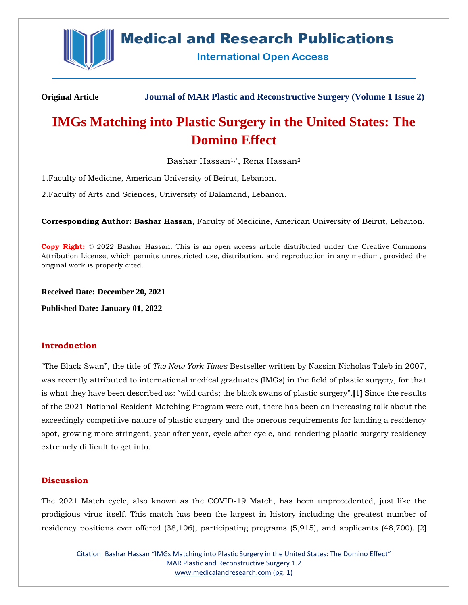

## **Medical and Research Publications**

**International Open Access** 

**Original Article Journal of MAR Plastic and Reconstructive Surgery (Volume 1 Issue 2)**

# **IMGs Matching into Plastic Surgery in the United States: The Domino Effect**

Bashar Hassan<sup>1,\*</sup>, Rena Hassan<sup>2</sup>

1.Faculty of Medicine, American University of Beirut, Lebanon.

2.Faculty of Arts and Sciences, University of Balamand, Lebanon.

**Corresponding Author: Bashar Hassan**, Faculty of Medicine, American University of Beirut, Lebanon.

**Copy Right:** © 2022 Bashar Hassan. This is an open access article distributed under the Creative Commons Attribution License, which permits unrestricted use, distribution, and reproduction in any medium, provided the original work is properly cited.

**Received Date: December 20, 2021**

**Published Date: January 01, 2022**

## **Introduction**

"The Black Swan", the title of *The New York Times* Bestseller written by Nassim Nicholas Taleb in 2007, was recently attributed to international medical graduates (IMGs) in the field of plastic surgery, for that is what they have been described as: "wild cards; the black swans of plastic surgery".**[**1**]** Since the results of the 2021 National Resident Matching Program were out, there has been an increasing talk about the exceedingly competitive nature of plastic surgery and the onerous requirements for landing a residency spot, growing more stringent, year after year, cycle after cycle, and rendering plastic surgery residency extremely difficult to get into.

## **Discussion**

The 2021 Match cycle, also known as the COVID-19 Match, has been unprecedented, just like the prodigious virus itself. This match has been the largest in history including the greatest number of residency positions ever offered (38,106), participating programs (5,915), and applicants (48,700). **[**2**]**

Citation: Bashar Hassan "IMGs Matching into Plastic Surgery in the United States: The Domino Effect" MAR Plastic and Reconstructive Surgery 1.2 [www.medicalandresearch.com](http://www.medicalandresearch.com/) (pg. 1)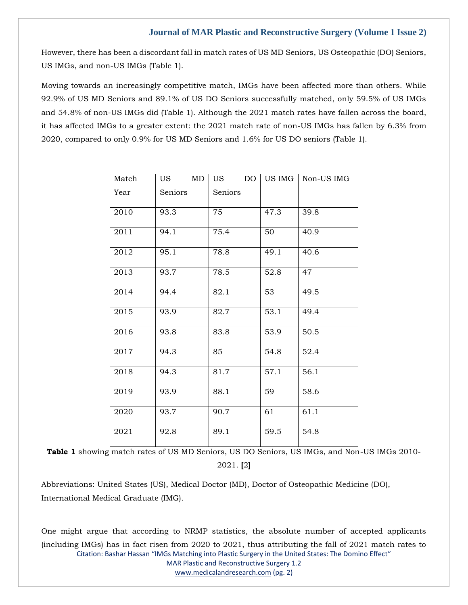However, there has been a discordant fall in match rates of US MD Seniors, US Osteopathic (DO) Seniors, US IMGs, and non-US IMGs (Table 1).

Moving towards an increasingly competitive match, IMGs have been affected more than others. While 92.9% of US MD Seniors and 89.1% of US DO Seniors successfully matched, only 59.5% of US IMGs and 54.8% of non-US IMGs did (Table 1). Although the 2021 match rates have fallen across the board, it has affected IMGs to a greater extent: the 2021 match rate of non-US IMGs has fallen by 6.3% from 2020, compared to only 0.9% for US MD Seniors and 1.6% for US DO seniors (Table 1).

| Match | MD<br><b>US</b> | US  <br>DO. | US IMG | Non-US IMG        |
|-------|-----------------|-------------|--------|-------------------|
| Year  | Seniors         | Seniors     |        |                   |
| 2010  | 93.3            | 75          | 47.3   | 39.8              |
| 2011  | 94.1            | 75.4        | 50     | 40.9              |
| 2012  | 95.1            | 78.8        | 49.1   | 40.6              |
| 2013  | 93.7            | 78.5        | 52.8   | 47                |
| 2014  | 94.4            | 82.1        | 53     | 49.5              |
| 2015  | 93.9            | 82.7        | 53.1   | 49.4              |
| 2016  | 93.8            | 83.8        | 53.9   | 50.5              |
| 2017  | 94.3            | 85          | 54.8   | 52.4              |
| 2018  | 94.3            | 81.7        | 57.1   | 56.1              |
| 2019  | 93.9            | 88.1        | 59     | 58.6              |
| 2020  | 93.7            | 90.7        | 61     | $61.\overline{1}$ |
| 2021  | 92.8            | 89.1        | 59.5   | 54.8              |

Table 1 showing match rates of US MD Seniors, US DO Seniors, US IMGs, and Non-US IMGs 2010-2021. **[**2**]**

Abbreviations: United States (US), Medical Doctor (MD), Doctor of Osteopathic Medicine (DO), International Medical Graduate (IMG).

Citation: Bashar Hassan "IMGs Matching into Plastic Surgery in the United States: The Domino Effect" MAR Plastic and Reconstructive Surgery 1.2 [www.medicalandresearch.com](http://www.medicalandresearch.com/) (pg. 2) One might argue that according to NRMP statistics, the absolute number of accepted applicants (including IMGs) has in fact risen from 2020 to 2021, thus attributing the fall of 2021 match rates to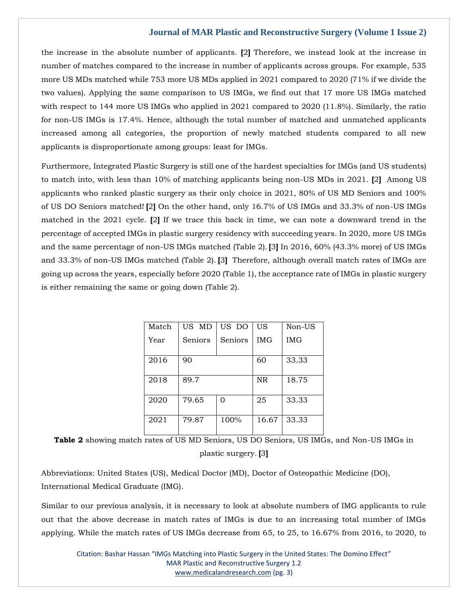the increase in the absolute number of applicants. **[**2**]** Therefore, we instead look at the increase in number of matches compared to the increase in number of applicants across groups. For example, 535 more US MDs matched while 753 more US MDs applied in 2021 compared to 2020 (71% if we divide the two values). Applying the same comparison to US IMGs, we find out that 17 more US IMGs matched with respect to 144 more US IMGs who applied in 2021 compared to 2020 (11.8%). Similarly, the ratio for non-US IMGs is 17.4%. Hence, although the total number of matched and unmatched applicants increased among all categories, the proportion of newly matched students compared to all new applicants is disproportionate among groups: least for IMGs.

Furthermore, Integrated Plastic Surgery is still one of the hardest specialties for IMGs (and US students) to match into, with less than 10% of matching applicants being non-US MDs in 2021. **[**2**]** Among US applicants who ranked plastic surgery as their only choice in 2021, 80% of US MD Seniors and 100% of US DO Seniors matched! **[**2**]** On the other hand, only 16.7% of US IMGs and 33.3% of non-US IMGs matched in the 2021 cycle. **[**2**]** If we trace this back in time, we can note a downward trend in the percentage of accepted IMGs in plastic surgery residency with succeeding years. In 2020, more US IMGs and the same percentage of non-US IMGs matched (Table 2). **[**3**]** In 2016, 60% (43.3% more) of US IMGs and 33.3% of non-US IMGs matched (Table 2). **[**3**]** Therefore, although overall match rates of IMGs are going up across the years, especially before 2020 (Table 1), the acceptance rate of IMGs in plastic surgery is either remaining the same or going down (Table 2).

| Match | US MD   | US DO   | US         | Non-US     |
|-------|---------|---------|------------|------------|
| Year  | Seniors | Seniors | <b>IMG</b> | <b>IMG</b> |
|       |         |         |            |            |
| 2016  | 90      |         | 60         | 33.33      |
|       |         |         |            |            |
| 2018  | 89.7    |         | NR         | 18.75      |
|       |         |         |            |            |
| 2020  | 79.65   | 0       | 25         | 33.33      |
|       |         |         |            |            |
| 2021  | 79.87   | 100%    | 16.67      | 33.33      |
|       |         |         |            |            |

**Table 2** showing match rates of US MD Seniors, US DO Seniors, US IMGs, and Non-US IMGs in plastic surgery. **[**3**]**

Abbreviations: United States (US), Medical Doctor (MD), Doctor of Osteopathic Medicine (DO), International Medical Graduate (IMG).

Similar to our previous analysis, it is necessary to look at absolute numbers of IMG applicants to rule out that the above decrease in match rates of IMGs is due to an increasing total number of IMGs applying. While the match rates of US IMGs decrease from 65, to 25, to 16.67% from 2016, to 2020, to

Citation: Bashar Hassan "IMGs Matching into Plastic Surgery in the United States: The Domino Effect" MAR Plastic and Reconstructive Surgery 1.2 [www.medicalandresearch.com](http://www.medicalandresearch.com/) (pg. 3)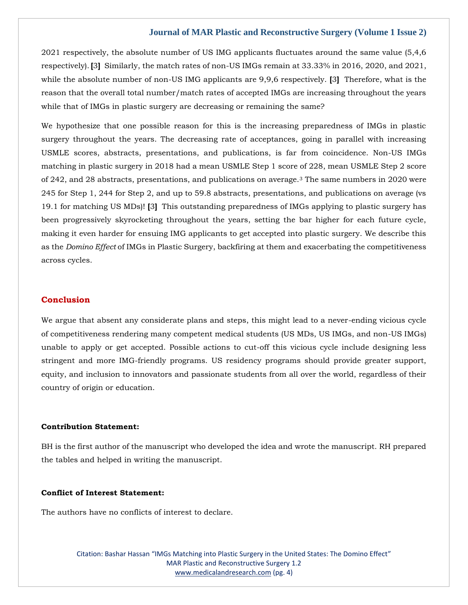2021 respectively, the absolute number of US IMG applicants fluctuates around the same value (5,4,6 respectively). **[**3**]** Similarly, the match rates of non-US IMGs remain at 33.33% in 2016, 2020, and 2021, while the absolute number of non-US IMG applicants are 9,9,6 respectively. **[**3**]** Therefore, what is the reason that the overall total number/match rates of accepted IMGs are increasing throughout the years while that of IMGs in plastic surgery are decreasing or remaining the same?

We hypothesize that one possible reason for this is the increasing preparedness of IMGs in plastic surgery throughout the years. The decreasing rate of acceptances, going in parallel with increasing USMLE scores, abstracts, presentations, and publications, is far from coincidence. Non-US IMGs matching in plastic surgery in 2018 had a mean USMLE Step 1 score of 228, mean USMLE Step 2 score of 242, and 28 abstracts, presentations, and publications on average.<sup>3</sup> The same numbers in 2020 were 245 for Step 1, 244 for Step 2, and up to 59.8 abstracts, presentations, and publications on average (vs 19.1 for matching US MDs)! **[**3**]** This outstanding preparedness of IMGs applying to plastic surgery has been progressively skyrocketing throughout the years, setting the bar higher for each future cycle, making it even harder for ensuing IMG applicants to get accepted into plastic surgery. We describe this as the *Domino Effect* of IMGs in Plastic Surgery, backfiring at them and exacerbating the competitiveness across cycles.

#### **Conclusion**

We argue that absent any considerate plans and steps, this might lead to a never-ending vicious cycle of competitiveness rendering many competent medical students (US MDs, US IMGs, and non-US IMGs) unable to apply or get accepted. Possible actions to cut-off this vicious cycle include designing less stringent and more IMG-friendly programs. US residency programs should provide greater support, equity, and inclusion to innovators and passionate students from all over the world, regardless of their country of origin or education.

#### **Contribution Statement:**

BH is the first author of the manuscript who developed the idea and wrote the manuscript. RH prepared the tables and helped in writing the manuscript.

#### **Conflict of Interest Statement:**

The authors have no conflicts of interest to declare.

Citation: Bashar Hassan "IMGs Matching into Plastic Surgery in the United States: The Domino Effect" MAR Plastic and Reconstructive Surgery 1.2 [www.medicalandresearch.com](http://www.medicalandresearch.com/) (pg. 4)